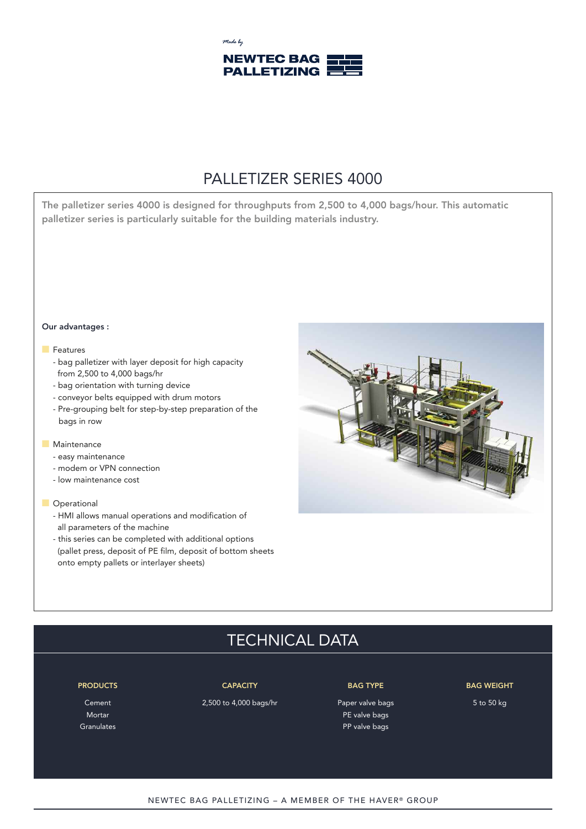

## PALLETIZER SERIES 4000

**The palletizer series 4000 is designed for throughputs from 2,500 to 4,000 bags/hour. This automatic palletizer series is particularly suitable for the building materials industry.**

### **Our advantages :**

## $\blacksquare$  Features

- bag palletizer with layer deposit for high capacity from 2,500 to 4,000 bags/hr
- bag orientation with turning device
- conveyor belts equipped with drum motors
- Pre-grouping belt for step-by-step preparation of the bags in row

### **Naintenance**

- easy maintenance
- modem or VPN connection
- low maintenance cost

## **n** Operational

- HMI allows manual operations and modification of all parameters of the machine
- this series can be completed with additional options (pallet press, deposit of PE film, deposit of bottom sheets onto empty pallets or interlayer sheets)



# TECHNICAL DATA

Cement 2,500 to 4,000 bags/hr Paper valve bags 5 to 50 kg

Mortar PE valve bags and the contract of the contract of the contract of the contract of the contract of the contract of the contract of the contract of the contract of the contract of the contract of the contract of the c Granulates **Constanting Community** Constanting Community Community Community Community Community Community Community Community Community Community Community Community Community Community Community Community Community Commu

### **PRODUCTS CAPACITY BAG TYPE BAG WEIGHT**

NEWTEC BAG PALLETIZING - A MEMBER OF THE HAVER® GROUP